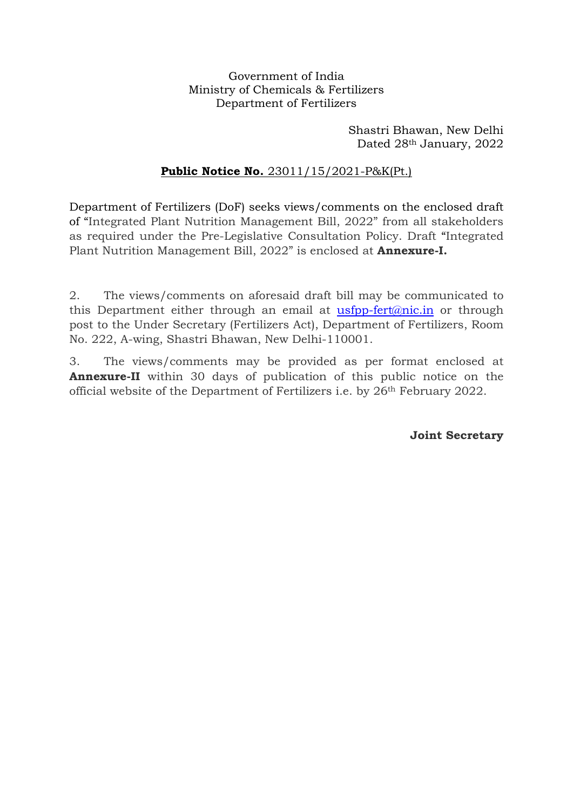# Government of India Ministry of Chemicals & Fertilizers Department of Fertilizers

Shastri Bhawan, New Delhi Dated 28th January, 2022

# **Public Notice No.** 23011/15/2021-P&K(Pt.)

Department of Fertilizers (DoF) seeks views/comments on the enclosed draft of "Integrated Plant Nutrition Management Bill, 2022" from all stakeholders as required under the Pre-Legislative Consultation Policy. Draft "Integrated Plant Nutrition Management Bill, 2022" is enclosed at **Annexure-I.** 

2. The views/comments on aforesaid draft bill may be communicated to this Department either through an email at usfpp-fert@nic.in or through post to the Under Secretary (Fertilizers Act), Department of Fertilizers, Room No. 222, A-wing, Shastri Bhawan, New Delhi-110001.

3. The views/comments may be provided as per format enclosed at Annexure-II within 30 days of publication of this public notice on the official website of the Department of Fertilizers i.e. by 26th February 2022.

Joint Secretary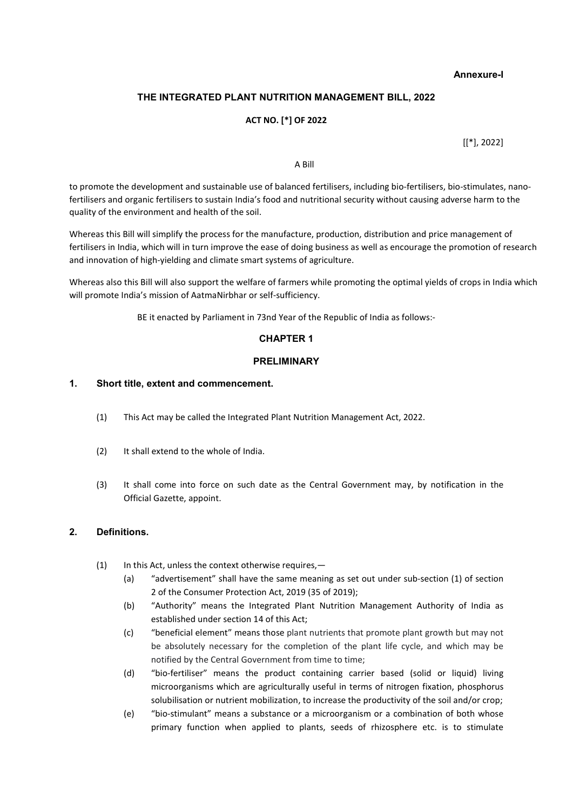#### Annexure-I

# THE INTEGRATED PLANT NUTRITION MANAGEMENT BILL, 2022

#### ACT NO. [\*] OF 2022

[[\*], 2022]

#### A Bill

to promote the development and sustainable use of balanced fertilisers, including bio-fertilisers, bio-stimulates, nanofertilisers and organic fertilisers to sustain India's food and nutritional security without causing adverse harm to the quality of the environment and health of the soil.

Whereas this Bill will simplify the process for the manufacture, production, distribution and price management of fertilisers in India, which will in turn improve the ease of doing business as well as encourage the promotion of research and innovation of high-yielding and climate smart systems of agriculture.

Whereas also this Bill will also support the welfare of farmers while promoting the optimal yields of crops in India which will promote India's mission of AatmaNirbhar or self-sufficiency.

BE it enacted by Parliament in 73nd Year of the Republic of India as follows:-

### CHAPTER 1

#### PRELIMINARY

### 1. Short title, extent and commencement.

- (1) This Act may be called the Integrated Plant Nutrition Management Act, 2022.
- (2) It shall extend to the whole of India.
- (3) It shall come into force on such date as the Central Government may, by notification in the Official Gazette, appoint.

#### 2. Definitions.

- (1) In this Act, unless the context otherwise requires,—
	- (a) "advertisement" shall have the same meaning as set out under sub-section (1) of section 2 of the Consumer Protection Act, 2019 (35 of 2019);
	- (b) "Authority" means the Integrated Plant Nutrition Management Authority of India as established under section 14 of this Act;
	- (c) "beneficial element" means those plant nutrients that promote plant growth but may not be absolutely necessary for the completion of the plant life cycle, and which may be notified by the Central Government from time to time;
	- (d) "bio-fertiliser" means the product containing carrier based (solid or liquid) living microorganisms which are agriculturally useful in terms of nitrogen fixation, phosphorus solubilisation or nutrient mobilization, to increase the productivity of the soil and/or crop;
	- (e) "bio-stimulant" means a substance or a microorganism or a combination of both whose primary function when applied to plants, seeds of rhizosphere etc. is to stimulate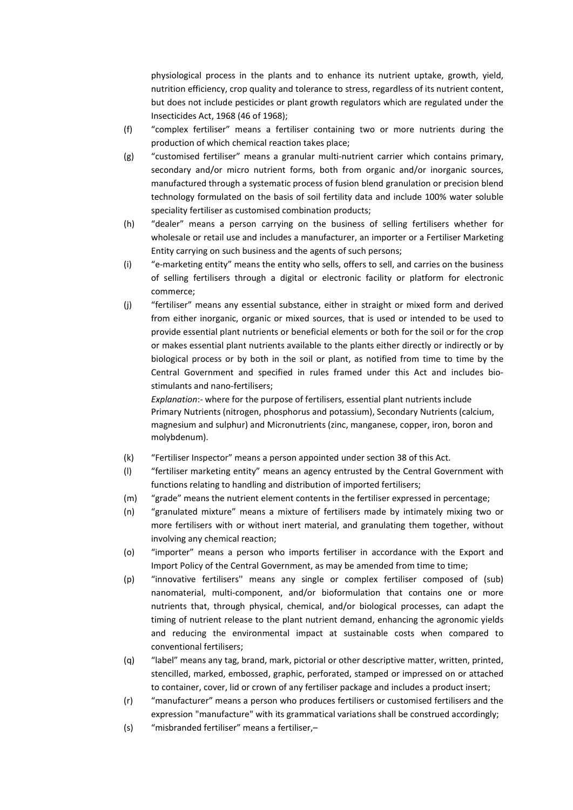physiological process in the plants and to enhance its nutrient uptake, growth, yield, nutrition efficiency, crop quality and tolerance to stress, regardless of its nutrient content, but does not include pesticides or plant growth regulators which are regulated under the Insecticides Act, 1968 (46 of 1968);

- (f) "complex fertiliser" means a fertiliser containing two or more nutrients during the production of which chemical reaction takes place;
- (g) "customised fertiliser" means a granular multi-nutrient carrier which contains primary, secondary and/or micro nutrient forms, both from organic and/or inorganic sources, manufactured through a systematic process of fusion blend granulation or precision blend technology formulated on the basis of soil fertility data and include 100% water soluble speciality fertiliser as customised combination products;
- (h) "dealer" means a person carrying on the business of selling fertilisers whether for wholesale or retail use and includes a manufacturer, an importer or a Fertiliser Marketing Entity carrying on such business and the agents of such persons;
- (i) "e-marketing entity" means the entity who sells, offers to sell, and carries on the business of selling fertilisers through a digital or electronic facility or platform for electronic commerce;
- (j) "fertiliser" means any essential substance, either in straight or mixed form and derived from either inorganic, organic or mixed sources, that is used or intended to be used to provide essential plant nutrients or beneficial elements or both for the soil or for the crop or makes essential plant nutrients available to the plants either directly or indirectly or by biological process or by both in the soil or plant, as notified from time to time by the Central Government and specified in rules framed under this Act and includes biostimulants and nano-fertilisers;

Explanation:- where for the purpose of fertilisers, essential plant nutrients include Primary Nutrients (nitrogen, phosphorus and potassium), Secondary Nutrients (calcium, magnesium and sulphur) and Micronutrients (zinc, manganese, copper, iron, boron and molybdenum).

- (k) "Fertiliser Inspector" means a person appointed under section 38 of this Act.
- (l) "fertiliser marketing entity" means an agency entrusted by the Central Government with functions relating to handling and distribution of imported fertilisers;
- (m) "grade" means the nutrient element contents in the fertiliser expressed in percentage;
- (n) "granulated mixture" means a mixture of fertilisers made by intimately mixing two or more fertilisers with or without inert material, and granulating them together, without involving any chemical reaction;
- (o) "importer" means a person who imports fertiliser in accordance with the Export and Import Policy of the Central Government, as may be amended from time to time;
- (p) "innovative fertilisers'' means any single or complex fertiliser composed of (sub) nanomaterial, multi-component, and/or bioformulation that contains one or more nutrients that, through physical, chemical, and/or biological processes, can adapt the timing of nutrient release to the plant nutrient demand, enhancing the agronomic yields and reducing the environmental impact at sustainable costs when compared to conventional fertilisers;
- (q) "label" means any tag, brand, mark, pictorial or other descriptive matter, written, printed, stencilled, marked, embossed, graphic, perforated, stamped or impressed on or attached to container, cover, lid or crown of any fertiliser package and includes a product insert;
- (r) "manufacturer" means a person who produces fertilisers or customised fertilisers and the expression "manufacture" with its grammatical variations shall be construed accordingly;
- (s) "misbranded fertiliser" means a fertiliser,–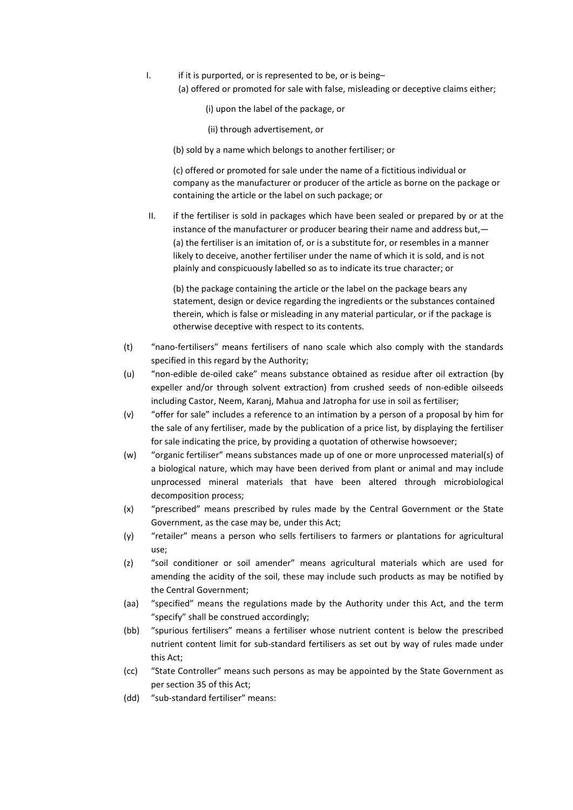- I. if it is purported, or is represented to be, or is being–
	- (a) offered or promoted for sale with false, misleading or deceptive claims either;
		- (i) upon the label of the package, or
		- (ii) through advertisement, or
	- (b) sold by a name which belongs to another fertiliser; or

(c) offered or promoted for sale under the name of a fictitious individual or company as the manufacturer or producer of the article as borne on the package or containing the article or the label on such package; or

II. if the fertiliser is sold in packages which have been sealed or prepared by or at the instance of the manufacturer or producer bearing their name and address but,— (a) the fertiliser is an imitation of, or is a substitute for, or resembles in a manner likely to deceive, another fertiliser under the name of which it is sold, and is not plainly and conspicuously labelled so as to indicate its true character; or

(b) the package containing the article or the label on the package bears any statement, design or device regarding the ingredients or the substances contained therein, which is false or misleading in any material particular, or if the package is otherwise deceptive with respect to its contents.

- (t) "nano-fertilisers" means fertilisers of nano scale which also comply with the standards specified in this regard by the Authority;
- (u) "non-edible de-oiled cake" means substance obtained as residue after oil extraction (by expeller and/or through solvent extraction) from crushed seeds of non-edible oilseeds including Castor, Neem, Karanj, Mahua and Jatropha for use in soil as fertiliser;
- (v) "offer for sale" includes a reference to an intimation by a person of a proposal by him for the sale of any fertiliser, made by the publication of a price list, by displaying the fertiliser for sale indicating the price, by providing a quotation of otherwise howsoever;
- (w) "organic fertiliser" means substances made up of one or more unprocessed material(s) of a biological nature, which may have been derived from plant or animal and may include unprocessed mineral materials that have been altered through microbiological decomposition process;
- (x) "prescribed" means prescribed by rules made by the Central Government or the State Government, as the case may be, under this Act;
- (y) "retailer" means a person who sells fertilisers to farmers or plantations for agricultural use;
- (z) "soil conditioner or soil amender" means agricultural materials which are used for amending the acidity of the soil, these may include such products as may be notified by the Central Government;
- (aa) "specified" means the regulations made by the Authority under this Act, and the term "specify" shall be construed accordingly;
- (bb) "spurious fertilisers" means a fertiliser whose nutrient content is below the prescribed nutrient content limit for sub-standard fertilisers as set out by way of rules made under this Act;
- (cc) "State Controller" means such persons as may be appointed by the State Government as per section 35 of this Act;
- (dd) "sub-standard fertiliser" means: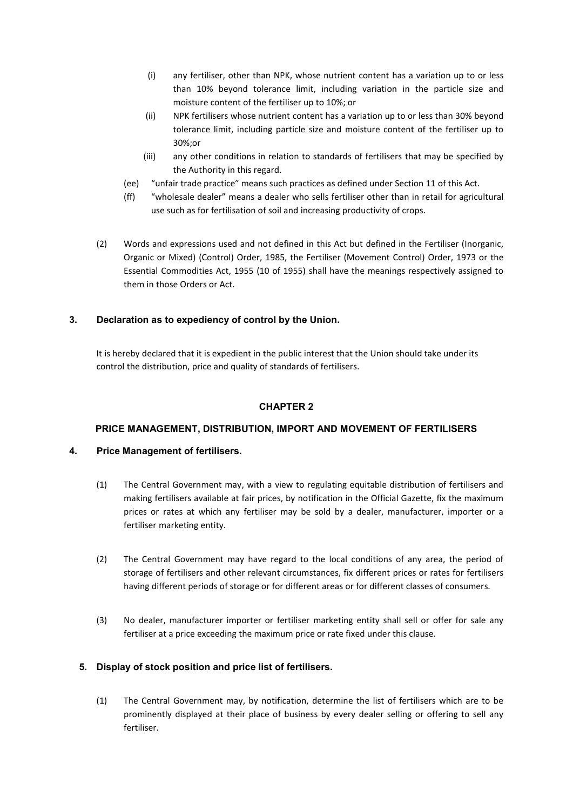- (i) any fertiliser, other than NPK, whose nutrient content has a variation up to or less than 10% beyond tolerance limit, including variation in the particle size and moisture content of the fertiliser up to 10%; or
- (ii) NPK fertilisers whose nutrient content has a variation up to or less than 30% beyond tolerance limit, including particle size and moisture content of the fertiliser up to 30%;or
- (iii) any other conditions in relation to standards of fertilisers that may be specified by the Authority in this regard.
- (ee) "unfair trade practice" means such practices as defined under Section 11 of this Act.
- (ff) "wholesale dealer" means a dealer who sells fertiliser other than in retail for agricultural use such as for fertilisation of soil and increasing productivity of crops.
- (2) Words and expressions used and not defined in this Act but defined in the Fertiliser (Inorganic, Organic or Mixed) (Control) Order, 1985, the Fertiliser (Movement Control) Order, 1973 or the Essential Commodities Act, 1955 (10 of 1955) shall have the meanings respectively assigned to them in those Orders or Act.

# 3. Declaration as to expediency of control by the Union.

It is hereby declared that it is expedient in the public interest that the Union should take under its control the distribution, price and quality of standards of fertilisers.

# CHAPTER 2

# PRICE MANAGEMENT, DISTRIBUTION, IMPORT AND MOVEMENT OF FERTILISERS

# 4. Price Management of fertilisers.

- (1) The Central Government may, with a view to regulating equitable distribution of fertilisers and making fertilisers available at fair prices, by notification in the Official Gazette, fix the maximum prices or rates at which any fertiliser may be sold by a dealer, manufacturer, importer or a fertiliser marketing entity.
- (2) The Central Government may have regard to the local conditions of any area, the period of storage of fertilisers and other relevant circumstances, fix different prices or rates for fertilisers having different periods of storage or for different areas or for different classes of consumers.
- (3) No dealer, manufacturer importer or fertiliser marketing entity shall sell or offer for sale any fertiliser at a price exceeding the maximum price or rate fixed under this clause.

# 5. Display of stock position and price list of fertilisers.

(1) The Central Government may, by notification, determine the list of fertilisers which are to be prominently displayed at their place of business by every dealer selling or offering to sell any fertiliser.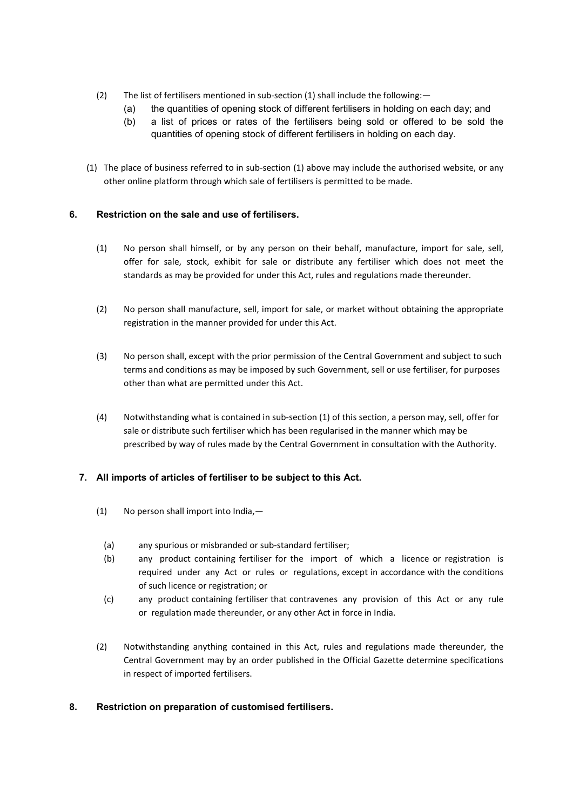- (2) The list of fertilisers mentioned in sub-section (1) shall include the following:—
	- (a) the quantities of opening stock of different fertilisers in holding on each day; and
	- (b) a list of prices or rates of the fertilisers being sold or offered to be sold the quantities of opening stock of different fertilisers in holding on each day.
- (1) The place of business referred to in sub-section (1) above may include the authorised website, or any other online platform through which sale of fertilisers is permitted to be made.

# 6. Restriction on the sale and use of fertilisers.

- (1) No person shall himself, or by any person on their behalf, manufacture, import for sale, sell, offer for sale, stock, exhibit for sale or distribute any fertiliser which does not meet the standards as may be provided for under this Act, rules and regulations made thereunder.
- (2) No person shall manufacture, sell, import for sale, or market without obtaining the appropriate registration in the manner provided for under this Act.
- (3) No person shall, except with the prior permission of the Central Government and subject to such terms and conditions as may be imposed by such Government, sell or use fertiliser, for purposes other than what are permitted under this Act.
- (4) Notwithstanding what is contained in sub-section (1) of this section, a person may, sell, offer for sale or distribute such fertiliser which has been regularised in the manner which may be prescribed by way of rules made by the Central Government in consultation with the Authority.

# 7. All imports of articles of fertiliser to be subject to this Act.

- (1) No person shall import into India,—
	- (a) any spurious or misbranded or sub-standard fertiliser;
	- (b) any product containing fertiliser for the import of which a licence or registration is required under any Act or rules or regulations, except in accordance with the conditions of such licence or registration; or
	- (c) any product containing fertiliser that contravenes any provision of this Act or any rule or regulation made thereunder, or any other Act in force in India.
- (2) Notwithstanding anything contained in this Act, rules and regulations made thereunder, the Central Government may by an order published in the Official Gazette determine specifications in respect of imported fertilisers.

# 8. Restriction on preparation of customised fertilisers.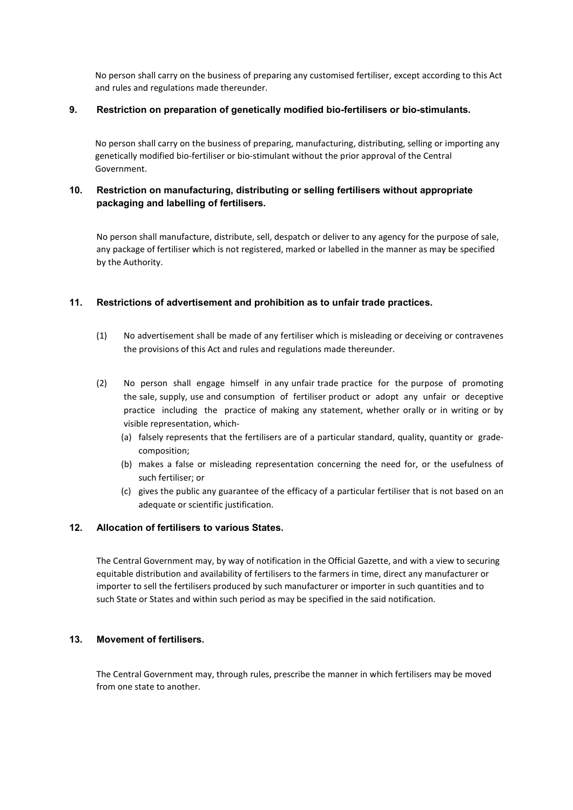No person shall carry on the business of preparing any customised fertiliser, except according to this Act and rules and regulations made thereunder.

#### 9. Restriction on preparation of genetically modified bio-fertilisers or bio-stimulants.

No person shall carry on the business of preparing, manufacturing, distributing, selling or importing any genetically modified bio-fertiliser or bio-stimulant without the prior approval of the Central Government.

# 10. Restriction on manufacturing, distributing or selling fertilisers without appropriate packaging and labelling of fertilisers.

No person shall manufacture, distribute, sell, despatch or deliver to any agency for the purpose of sale, any package of fertiliser which is not registered, marked or labelled in the manner as may be specified by the Authority.

### 11. Restrictions of advertisement and prohibition as to unfair trade practices.

- (1) No advertisement shall be made of any fertiliser which is misleading or deceiving or contravenes the provisions of this Act and rules and regulations made thereunder.
- (2) No person shall engage himself in any unfair trade practice for the purpose of promoting the sale, supply, use and consumption of fertiliser product or adopt any unfair or deceptive practice including the practice of making any statement, whether orally or in writing or by visible representation, which-
	- (a) falsely represents that the fertilisers are of a particular standard, quality, quantity or gradecomposition;
	- (b) makes a false or misleading representation concerning the need for, or the usefulness of such fertiliser; or
	- (c) gives the public any guarantee of the efficacy of a particular fertiliser that is not based on an adequate or scientific justification.

#### 12. Allocation of fertilisers to various States.

The Central Government may, by way of notification in the Official Gazette, and with a view to securing equitable distribution and availability of fertilisers to the farmers in time, direct any manufacturer or importer to sell the fertilisers produced by such manufacturer or importer in such quantities and to such State or States and within such period as may be specified in the said notification.

#### 13. Movement of fertilisers.

The Central Government may, through rules, prescribe the manner in which fertilisers may be moved from one state to another.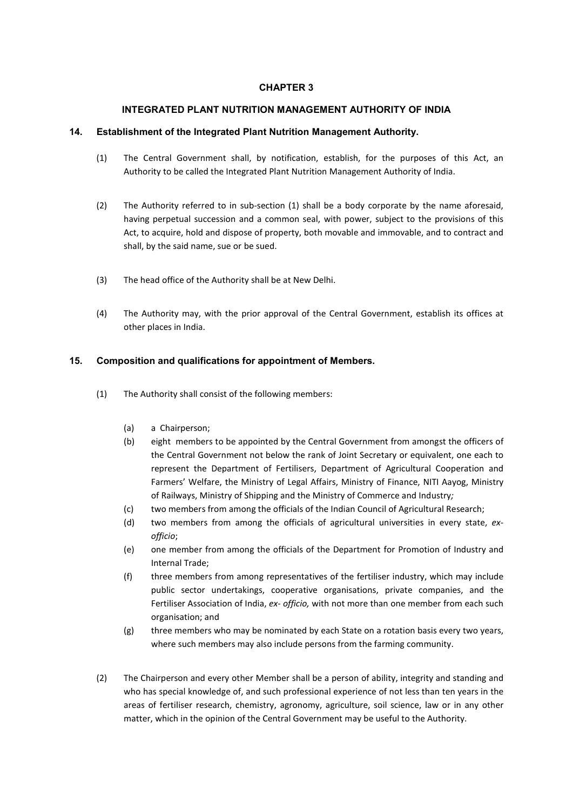# CHAPTER 3

### INTEGRATED PLANT NUTRITION MANAGEMENT AUTHORITY OF INDIA

### 14. Establishment of the Integrated Plant Nutrition Management Authority.

- (1) The Central Government shall, by notification, establish, for the purposes of this Act, an Authority to be called the Integrated Plant Nutrition Management Authority of India.
- (2) The Authority referred to in sub-section (1) shall be a body corporate by the name aforesaid, having perpetual succession and a common seal, with power, subject to the provisions of this Act, to acquire, hold and dispose of property, both movable and immovable, and to contract and shall, by the said name, sue or be sued.
- (3) The head office of the Authority shall be at New Delhi.
- (4) The Authority may, with the prior approval of the Central Government, establish its offices at other places in India.

### 15. Composition and qualifications for appointment of Members.

- (1) The Authority shall consist of the following members:
	- (a) a Chairperson;
	- (b) eight members to be appointed by the Central Government from amongst the officers of the Central Government not below the rank of Joint Secretary or equivalent, one each to represent the Department of Fertilisers, Department of Agricultural Cooperation and Farmers' Welfare, the Ministry of Legal Affairs, Ministry of Finance, NITI Aayog, Ministry of Railways, Ministry of Shipping and the Ministry of Commerce and Industry;
	- (c) two members from among the officials of the Indian Council of Agricultural Research;
	- (d) two members from among the officials of agricultural universities in every state, exofficio;
	- (e) one member from among the officials of the Department for Promotion of Industry and Internal Trade;
	- (f) three members from among representatives of the fertiliser industry, which may include public sector undertakings, cooperative organisations, private companies, and the Fertiliser Association of India, ex- officio, with not more than one member from each such organisation; and
	- (g) three members who may be nominated by each State on a rotation basis every two years, where such members may also include persons from the farming community.
- (2) The Chairperson and every other Member shall be a person of ability, integrity and standing and who has special knowledge of, and such professional experience of not less than ten years in the areas of fertiliser research, chemistry, agronomy, agriculture, soil science, law or in any other matter, which in the opinion of the Central Government may be useful to the Authority.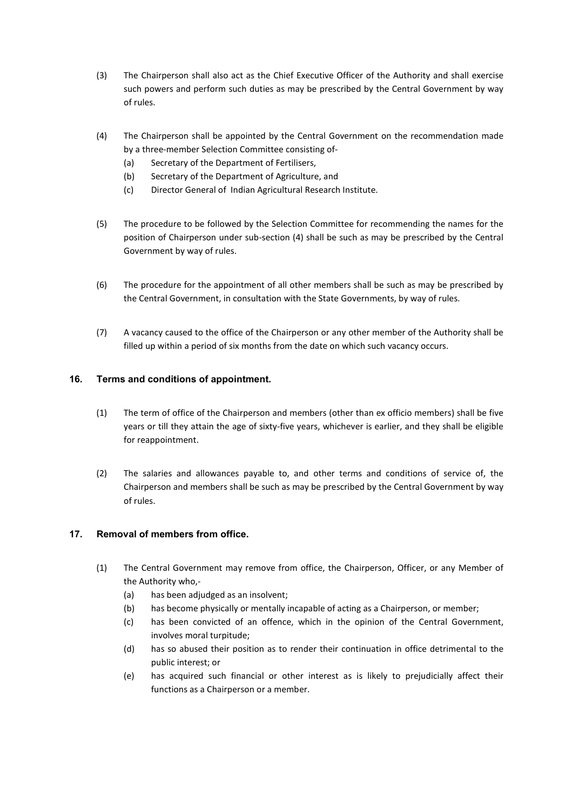- (3) The Chairperson shall also act as the Chief Executive Officer of the Authority and shall exercise such powers and perform such duties as may be prescribed by the Central Government by way of rules.
- (4) The Chairperson shall be appointed by the Central Government on the recommendation made by a three-member Selection Committee consisting of-
	- (a) Secretary of the Department of Fertilisers,
	- (b) Secretary of the Department of Agriculture, and
	- (c) Director General of Indian Agricultural Research Institute.
- (5) The procedure to be followed by the Selection Committee for recommending the names for the position of Chairperson under sub-section (4) shall be such as may be prescribed by the Central Government by way of rules.
- (6) The procedure for the appointment of all other members shall be such as may be prescribed by the Central Government, in consultation with the State Governments, by way of rules.
- (7) A vacancy caused to the office of the Chairperson or any other member of the Authority shall be filled up within a period of six months from the date on which such vacancy occurs.

# 16. Terms and conditions of appointment.

- (1) The term of office of the Chairperson and members (other than ex officio members) shall be five years or till they attain the age of sixty-five years, whichever is earlier, and they shall be eligible for reappointment.
- (2) The salaries and allowances payable to, and other terms and conditions of service of, the Chairperson and members shall be such as may be prescribed by the Central Government by way of rules.

# 17. Removal of members from office.

- (1) The Central Government may remove from office, the Chairperson, Officer, or any Member of the Authority who,-
	- (a) has been adjudged as an insolvent;
	- (b) has become physically or mentally incapable of acting as a Chairperson, or member;
	- (c) has been convicted of an offence, which in the opinion of the Central Government, involves moral turpitude;
	- (d) has so abused their position as to render their continuation in office detrimental to the public interest; or
	- (e) has acquired such financial or other interest as is likely to prejudicially affect their functions as a Chairperson or a member.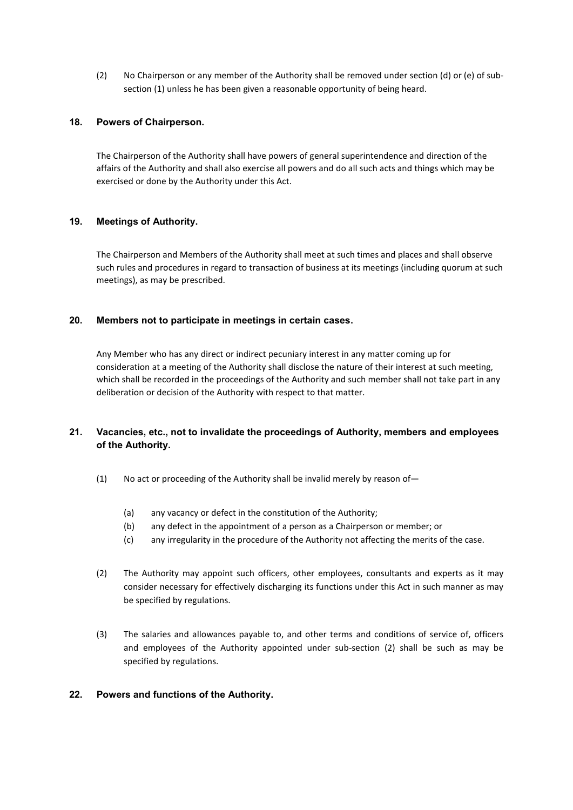(2) No Chairperson or any member of the Authority shall be removed under section (d) or (e) of subsection (1) unless he has been given a reasonable opportunity of being heard.

### 18. Powers of Chairperson.

The Chairperson of the Authority shall have powers of general superintendence and direction of the affairs of the Authority and shall also exercise all powers and do all such acts and things which may be exercised or done by the Authority under this Act.

### 19. Meetings of Authority.

The Chairperson and Members of the Authority shall meet at such times and places and shall observe such rules and procedures in regard to transaction of business at its meetings (including quorum at such meetings), as may be prescribed.

#### 20. Members not to participate in meetings in certain cases.

Any Member who has any direct or indirect pecuniary interest in any matter coming up for consideration at a meeting of the Authority shall disclose the nature of their interest at such meeting, which shall be recorded in the proceedings of the Authority and such member shall not take part in any deliberation or decision of the Authority with respect to that matter.

# 21. Vacancies, etc., not to invalidate the proceedings of Authority, members and employees of the Authority.

- (1) No act or proceeding of the Authority shall be invalid merely by reason of—
	- (a) any vacancy or defect in the constitution of the Authority;
	- (b) any defect in the appointment of a person as a Chairperson or member; or
	- (c) any irregularity in the procedure of the Authority not affecting the merits of the case.
- (2) The Authority may appoint such officers, other employees, consultants and experts as it may consider necessary for effectively discharging its functions under this Act in such manner as may be specified by regulations.
- (3) The salaries and allowances payable to, and other terms and conditions of service of, officers and employees of the Authority appointed under sub-section (2) shall be such as may be specified by regulations.

# 22. Powers and functions of the Authority.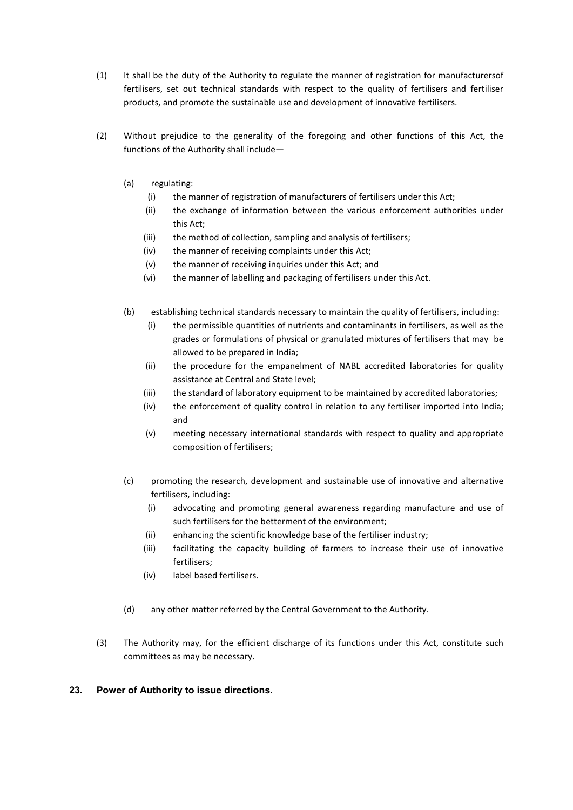- (1) It shall be the duty of the Authority to regulate the manner of registration for manufacturersof fertilisers, set out technical standards with respect to the quality of fertilisers and fertiliser products, and promote the sustainable use and development of innovative fertilisers.
- (2) Without prejudice to the generality of the foregoing and other functions of this Act, the functions of the Authority shall include—
	- (a) regulating:
		- (i) the manner of registration of manufacturers of fertilisers under this Act;
		- (ii) the exchange of information between the various enforcement authorities under this Act;
		- (iii) the method of collection, sampling and analysis of fertilisers;
		- (iv) the manner of receiving complaints under this Act;
		- (v) the manner of receiving inquiries under this Act; and
		- (vi) the manner of labelling and packaging of fertilisers under this Act.
	- (b) establishing technical standards necessary to maintain the quality of fertilisers, including:
		- (i) the permissible quantities of nutrients and contaminants in fertilisers, as well as the grades or formulations of physical or granulated mixtures of fertilisers that may be allowed to be prepared in India;
		- (ii) the procedure for the empanelment of NABL accredited laboratories for quality assistance at Central and State level;
		- (iii) the standard of laboratory equipment to be maintained by accredited laboratories;
		- (iv) the enforcement of quality control in relation to any fertiliser imported into India; and
		- (v) meeting necessary international standards with respect to quality and appropriate composition of fertilisers;
	- (c) promoting the research, development and sustainable use of innovative and alternative fertilisers, including:
		- (i) advocating and promoting general awareness regarding manufacture and use of such fertilisers for the betterment of the environment;
		- (ii) enhancing the scientific knowledge base of the fertiliser industry;
		- (iii) facilitating the capacity building of farmers to increase their use of innovative fertilisers;
		- (iv) label based fertilisers.
	- (d) any other matter referred by the Central Government to the Authority.
- (3) The Authority may, for the efficient discharge of its functions under this Act, constitute such committees as may be necessary.

# 23. Power of Authority to issue directions.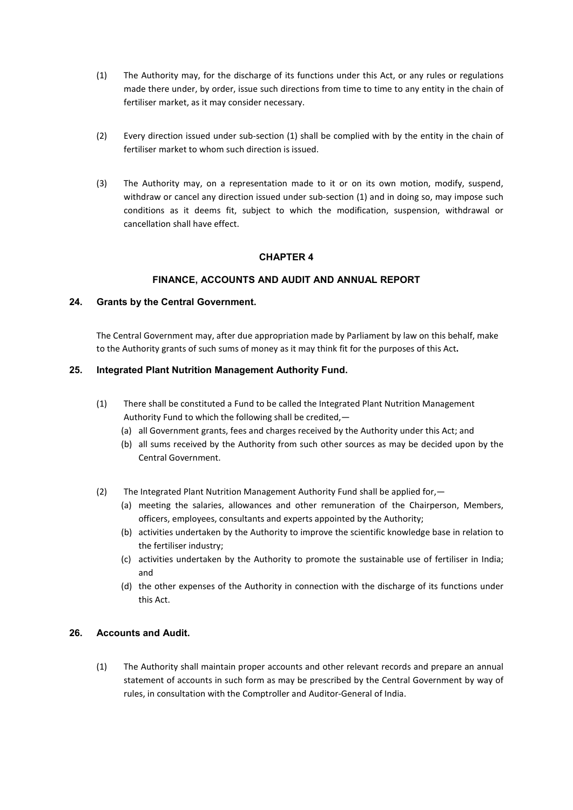- (1) The Authority may, for the discharge of its functions under this Act, or any rules or regulations made there under, by order, issue such directions from time to time to any entity in the chain of fertiliser market, as it may consider necessary.
- (2) Every direction issued under sub-section (1) shall be complied with by the entity in the chain of fertiliser market to whom such direction is issued.
- (3) The Authority may, on a representation made to it or on its own motion, modify, suspend, withdraw or cancel any direction issued under sub-section (1) and in doing so, may impose such conditions as it deems fit, subject to which the modification, suspension, withdrawal or cancellation shall have effect.

# CHAPTER 4

# FINANCE, ACCOUNTS AND AUDIT AND ANNUAL REPORT

### 24. Grants by the Central Government.

The Central Government may, after due appropriation made by Parliament by law on this behalf, make to the Authority grants of such sums of money as it may think fit for the purposes of this Act.

#### 25. Integrated Plant Nutrition Management Authority Fund.

- (1) There shall be constituted a Fund to be called the Integrated Plant Nutrition Management Authority Fund to which the following shall be credited,—
	- (a) all Government grants, fees and charges received by the Authority under this Act; and
	- (b) all sums received by the Authority from such other sources as may be decided upon by the Central Government.
- (2) The Integrated Plant Nutrition Management Authority Fund shall be applied for,—
	- (a) meeting the salaries, allowances and other remuneration of the Chairperson, Members, officers, employees, consultants and experts appointed by the Authority;
	- (b) activities undertaken by the Authority to improve the scientific knowledge base in relation to the fertiliser industry;
	- (c) activities undertaken by the Authority to promote the sustainable use of fertiliser in India; and
	- (d) the other expenses of the Authority in connection with the discharge of its functions under this Act.

# 26. Accounts and Audit.

(1) The Authority shall maintain proper accounts and other relevant records and prepare an annual statement of accounts in such form as may be prescribed by the Central Government by way of rules, in consultation with the Comptroller and Auditor-General of India.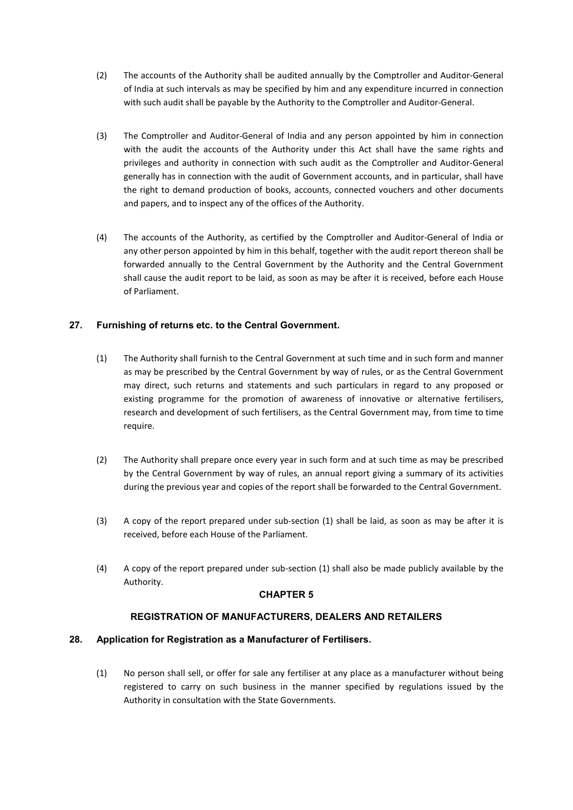- (2) The accounts of the Authority shall be audited annually by the Comptroller and Auditor-General of India at such intervals as may be specified by him and any expenditure incurred in connection with such audit shall be payable by the Authority to the Comptroller and Auditor-General.
- (3) The Comptroller and Auditor-General of India and any person appointed by him in connection with the audit the accounts of the Authority under this Act shall have the same rights and privileges and authority in connection with such audit as the Comptroller and Auditor-General generally has in connection with the audit of Government accounts, and in particular, shall have the right to demand production of books, accounts, connected vouchers and other documents and papers, and to inspect any of the offices of the Authority.
- (4) The accounts of the Authority, as certified by the Comptroller and Auditor-General of India or any other person appointed by him in this behalf, together with the audit report thereon shall be forwarded annually to the Central Government by the Authority and the Central Government shall cause the audit report to be laid, as soon as may be after it is received, before each House of Parliament.

# 27. Furnishing of returns etc. to the Central Government.

- (1) The Authority shall furnish to the Central Government at such time and in such form and manner as may be prescribed by the Central Government by way of rules, or as the Central Government may direct, such returns and statements and such particulars in regard to any proposed or existing programme for the promotion of awareness of innovative or alternative fertilisers, research and development of such fertilisers, as the Central Government may, from time to time require.
- (2) The Authority shall prepare once every year in such form and at such time as may be prescribed by the Central Government by way of rules, an annual report giving a summary of its activities during the previous year and copies of the report shall be forwarded to the Central Government.
- (3) A copy of the report prepared under sub-section (1) shall be laid, as soon as may be after it is received, before each House of the Parliament.
- (4) A copy of the report prepared under sub-section (1) shall also be made publicly available by the Authority.

#### CHAPTER 5

# REGISTRATION OF MANUFACTURERS, DEALERS AND RETAILERS

#### 28. Application for Registration as a Manufacturer of Fertilisers.

(1) No person shall sell, or offer for sale any fertiliser at any place as a manufacturer without being registered to carry on such business in the manner specified by regulations issued by the Authority in consultation with the State Governments.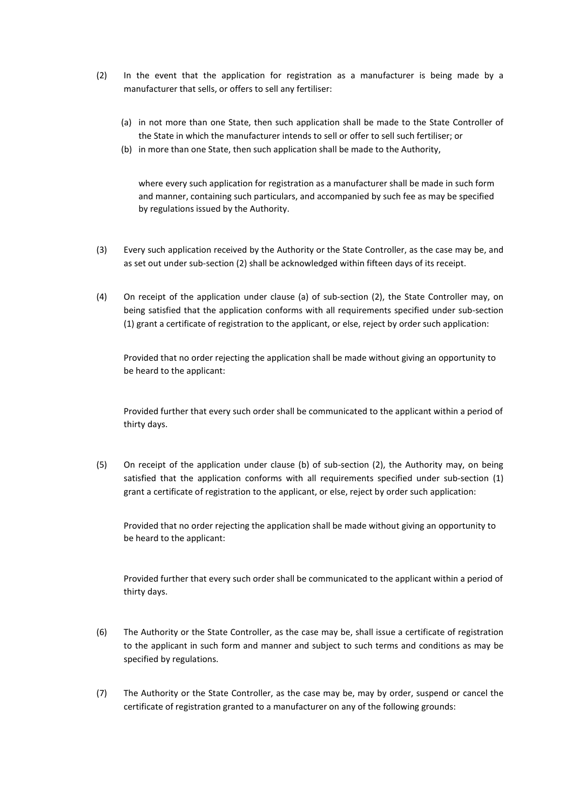- (2) In the event that the application for registration as a manufacturer is being made by a manufacturer that sells, or offers to sell any fertiliser:
	- (a) in not more than one State, then such application shall be made to the State Controller of the State in which the manufacturer intends to sell or offer to sell such fertiliser; or
	- (b) in more than one State, then such application shall be made to the Authority,

where every such application for registration as a manufacturer shall be made in such form and manner, containing such particulars, and accompanied by such fee as may be specified by regulations issued by the Authority.

- (3) Every such application received by the Authority or the State Controller, as the case may be, and as set out under sub-section (2) shall be acknowledged within fifteen days of its receipt.
- (4) On receipt of the application under clause (a) of sub-section (2), the State Controller may, on being satisfied that the application conforms with all requirements specified under sub-section (1) grant a certificate of registration to the applicant, or else, reject by order such application:

Provided that no order rejecting the application shall be made without giving an opportunity to be heard to the applicant:

Provided further that every such order shall be communicated to the applicant within a period of thirty days.

(5) On receipt of the application under clause (b) of sub-section (2), the Authority may, on being satisfied that the application conforms with all requirements specified under sub-section (1) grant a certificate of registration to the applicant, or else, reject by order such application:

Provided that no order rejecting the application shall be made without giving an opportunity to be heard to the applicant:

Provided further that every such order shall be communicated to the applicant within a period of thirty days.

- (6) The Authority or the State Controller, as the case may be, shall issue a certificate of registration to the applicant in such form and manner and subject to such terms and conditions as may be specified by regulations.
- (7) The Authority or the State Controller, as the case may be, may by order, suspend or cancel the certificate of registration granted to a manufacturer on any of the following grounds: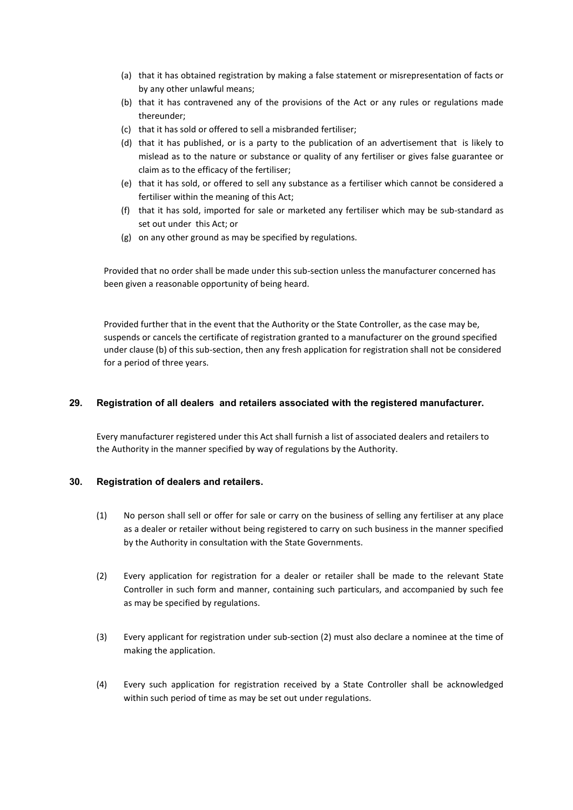- (a) that it has obtained registration by making a false statement or misrepresentation of facts or by any other unlawful means;
- (b) that it has contravened any of the provisions of the Act or any rules or regulations made thereunder;
- (c) that it has sold or offered to sell a misbranded fertiliser;
- (d) that it has published, or is a party to the publication of an advertisement that is likely to mislead as to the nature or substance or quality of any fertiliser or gives false guarantee or claim as to the efficacy of the fertiliser;
- (e) that it has sold, or offered to sell any substance as a fertiliser which cannot be considered a fertiliser within the meaning of this Act;
- (f) that it has sold, imported for sale or marketed any fertiliser which may be sub-standard as set out under this Act; or
- (g) on any other ground as may be specified by regulations.

Provided that no order shall be made under this sub-section unless the manufacturer concerned has been given a reasonable opportunity of being heard.

Provided further that in the event that the Authority or the State Controller, as the case may be, suspends or cancels the certificate of registration granted to a manufacturer on the ground specified under clause (b) of this sub-section, then any fresh application for registration shall not be considered for a period of three years.

#### 29. Registration of all dealers and retailers associated with the registered manufacturer.

Every manufacturer registered under this Act shall furnish a list of associated dealers and retailers to the Authority in the manner specified by way of regulations by the Authority.

#### 30. Registration of dealers and retailers.

- (1) No person shall sell or offer for sale or carry on the business of selling any fertiliser at any place as a dealer or retailer without being registered to carry on such business in the manner specified by the Authority in consultation with the State Governments.
- (2) Every application for registration for a dealer or retailer shall be made to the relevant State Controller in such form and manner, containing such particulars, and accompanied by such fee as may be specified by regulations.
- (3) Every applicant for registration under sub-section (2) must also declare a nominee at the time of making the application.
- (4) Every such application for registration received by a State Controller shall be acknowledged within such period of time as may be set out under regulations.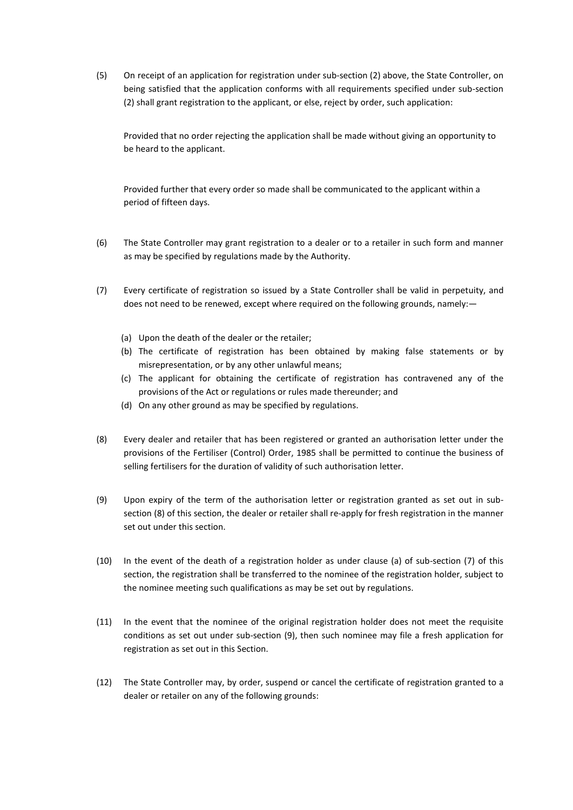(5) On receipt of an application for registration under sub-section (2) above, the State Controller, on being satisfied that the application conforms with all requirements specified under sub-section (2) shall grant registration to the applicant, or else, reject by order, such application:

Provided that no order rejecting the application shall be made without giving an opportunity to be heard to the applicant.

Provided further that every order so made shall be communicated to the applicant within a period of fifteen days.

- (6) The State Controller may grant registration to a dealer or to a retailer in such form and manner as may be specified by regulations made by the Authority.
- (7) Every certificate of registration so issued by a State Controller shall be valid in perpetuity, and does not need to be renewed, except where required on the following grounds, namely:—
	- (a) Upon the death of the dealer or the retailer;
	- (b) The certificate of registration has been obtained by making false statements or by misrepresentation, or by any other unlawful means;
	- (c) The applicant for obtaining the certificate of registration has contravened any of the provisions of the Act or regulations or rules made thereunder; and
	- (d) On any other ground as may be specified by regulations.
- (8) Every dealer and retailer that has been registered or granted an authorisation letter under the provisions of the Fertiliser (Control) Order, 1985 shall be permitted to continue the business of selling fertilisers for the duration of validity of such authorisation letter.
- (9) Upon expiry of the term of the authorisation letter or registration granted as set out in subsection (8) of this section, the dealer or retailer shall re-apply for fresh registration in the manner set out under this section.
- (10) In the event of the death of a registration holder as under clause (a) of sub-section (7) of this section, the registration shall be transferred to the nominee of the registration holder, subject to the nominee meeting such qualifications as may be set out by regulations.
- (11) In the event that the nominee of the original registration holder does not meet the requisite conditions as set out under sub-section (9), then such nominee may file a fresh application for registration as set out in this Section.
- (12) The State Controller may, by order, suspend or cancel the certificate of registration granted to a dealer or retailer on any of the following grounds: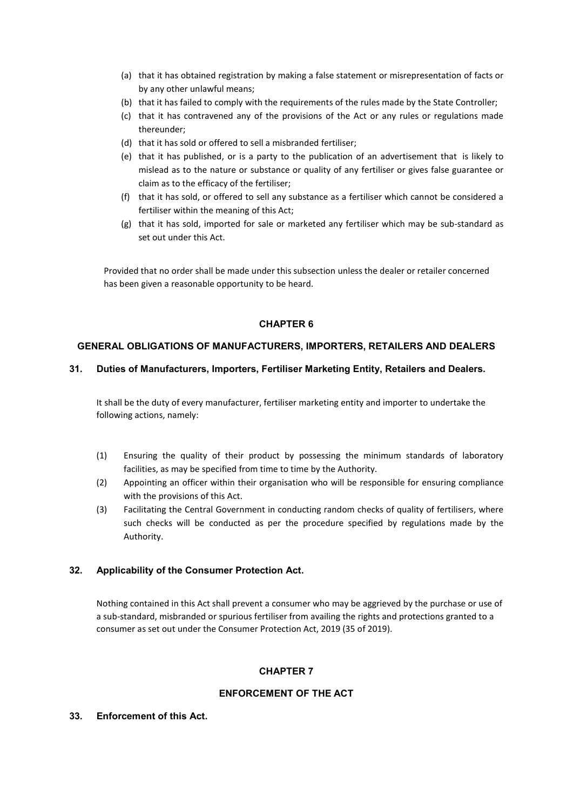- (a) that it has obtained registration by making a false statement or misrepresentation of facts or by any other unlawful means;
- (b) that it has failed to comply with the requirements of the rules made by the State Controller;
- (c) that it has contravened any of the provisions of the Act or any rules or regulations made thereunder;
- (d) that it has sold or offered to sell a misbranded fertiliser;
- (e) that it has published, or is a party to the publication of an advertisement that is likely to mislead as to the nature or substance or quality of any fertiliser or gives false guarantee or claim as to the efficacy of the fertiliser;
- (f) that it has sold, or offered to sell any substance as a fertiliser which cannot be considered a fertiliser within the meaning of this Act;
- (g) that it has sold, imported for sale or marketed any fertiliser which may be sub-standard as set out under this Act.

Provided that no order shall be made under this subsection unless the dealer or retailer concerned has been given a reasonable opportunity to be heard.

# CHAPTER 6

### GENERAL OBLIGATIONS OF MANUFACTURERS, IMPORTERS, RETAILERS AND DEALERS

### 31. Duties of Manufacturers, Importers, Fertiliser Marketing Entity, Retailers and Dealers.

It shall be the duty of every manufacturer, fertiliser marketing entity and importer to undertake the following actions, namely:

- (1) Ensuring the quality of their product by possessing the minimum standards of laboratory facilities, as may be specified from time to time by the Authority.
- (2) Appointing an officer within their organisation who will be responsible for ensuring compliance with the provisions of this Act.
- (3) Facilitating the Central Government in conducting random checks of quality of fertilisers, where such checks will be conducted as per the procedure specified by regulations made by the Authority.

# 32. Applicability of the Consumer Protection Act.

Nothing contained in this Act shall prevent a consumer who may be aggrieved by the purchase or use of a sub-standard, misbranded or spurious fertiliser from availing the rights and protections granted to a consumer as set out under the Consumer Protection Act, 2019 (35 of 2019).

# CHAPTER 7

# ENFORCEMENT OF THE ACT

#### 33. Enforcement of this Act.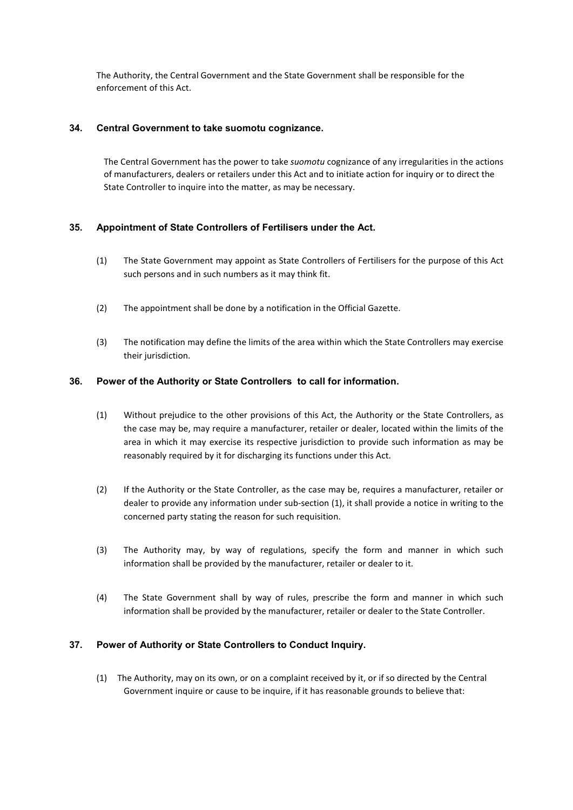The Authority, the Central Government and the State Government shall be responsible for the enforcement of this Act.

# 34. Central Government to take suomotu cognizance.

The Central Government has the power to take suomotu cognizance of any irregularities in the actions of manufacturers, dealers or retailers under this Act and to initiate action for inquiry or to direct the State Controller to inquire into the matter, as may be necessary.

# 35. Appointment of State Controllers of Fertilisers under the Act.

- (1) The State Government may appoint as State Controllers of Fertilisers for the purpose of this Act such persons and in such numbers as it may think fit.
- (2) The appointment shall be done by a notification in the Official Gazette.
- (3) The notification may define the limits of the area within which the State Controllers may exercise their jurisdiction.

### 36. Power of the Authority or State Controllers to call for information.

- (1) Without prejudice to the other provisions of this Act, the Authority or the State Controllers, as the case may be, may require a manufacturer, retailer or dealer, located within the limits of the area in which it may exercise its respective jurisdiction to provide such information as may be reasonably required by it for discharging its functions under this Act.
- (2) If the Authority or the State Controller, as the case may be, requires a manufacturer, retailer or dealer to provide any information under sub-section (1), it shall provide a notice in writing to the concerned party stating the reason for such requisition.
- (3) The Authority may, by way of regulations, specify the form and manner in which such information shall be provided by the manufacturer, retailer or dealer to it.
- (4) The State Government shall by way of rules, prescribe the form and manner in which such information shall be provided by the manufacturer, retailer or dealer to the State Controller.

# 37. Power of Authority or State Controllers to Conduct Inquiry.

(1) The Authority, may on its own, or on a complaint received by it, or if so directed by the Central Government inquire or cause to be inquire, if it has reasonable grounds to believe that: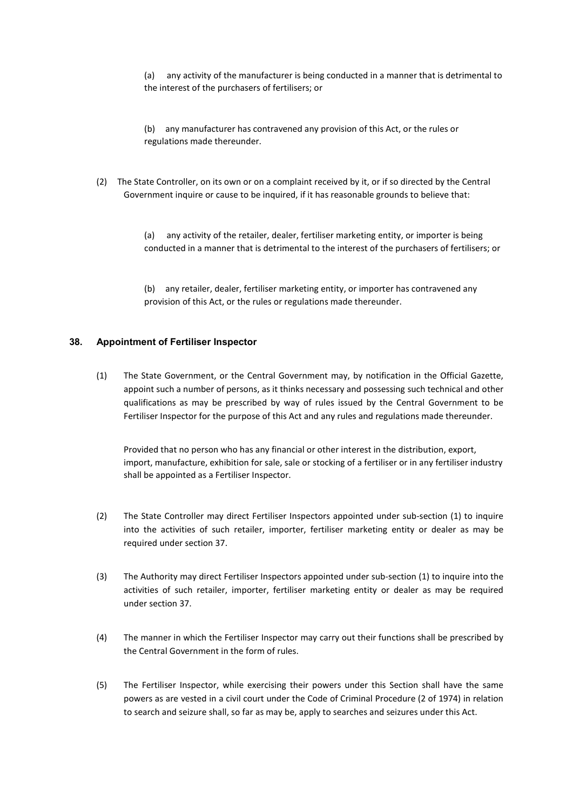(a) any activity of the manufacturer is being conducted in a manner that is detrimental to the interest of the purchasers of fertilisers; or

(b) any manufacturer has contravened any provision of this Act, or the rules or regulations made thereunder.

(2) The State Controller, on its own or on a complaint received by it, or if so directed by the Central Government inquire or cause to be inquired, if it has reasonable grounds to believe that:

> (a) any activity of the retailer, dealer, fertiliser marketing entity, or importer is being conducted in a manner that is detrimental to the interest of the purchasers of fertilisers; or

(b) any retailer, dealer, fertiliser marketing entity, or importer has contravened any provision of this Act, or the rules or regulations made thereunder.

#### 38. Appointment of Fertiliser Inspector

(1) The State Government, or the Central Government may, by notification in the Official Gazette, appoint such a number of persons, as it thinks necessary and possessing such technical and other qualifications as may be prescribed by way of rules issued by the Central Government to be Fertiliser Inspector for the purpose of this Act and any rules and regulations made thereunder.

Provided that no person who has any financial or other interest in the distribution, export, import, manufacture, exhibition for sale, sale or stocking of a fertiliser or in any fertiliser industry shall be appointed as a Fertiliser Inspector.

- (2) The State Controller may direct Fertiliser Inspectors appointed under sub-section (1) to inquire into the activities of such retailer, importer, fertiliser marketing entity or dealer as may be required under section 37.
- (3) The Authority may direct Fertiliser Inspectors appointed under sub-section (1) to inquire into the activities of such retailer, importer, fertiliser marketing entity or dealer as may be required under section 37.
- (4) The manner in which the Fertiliser Inspector may carry out their functions shall be prescribed by the Central Government in the form of rules.
- (5) The Fertiliser Inspector, while exercising their powers under this Section shall have the same powers as are vested in a civil court under the Code of Criminal Procedure (2 of 1974) in relation to search and seizure shall, so far as may be, apply to searches and seizures under this Act.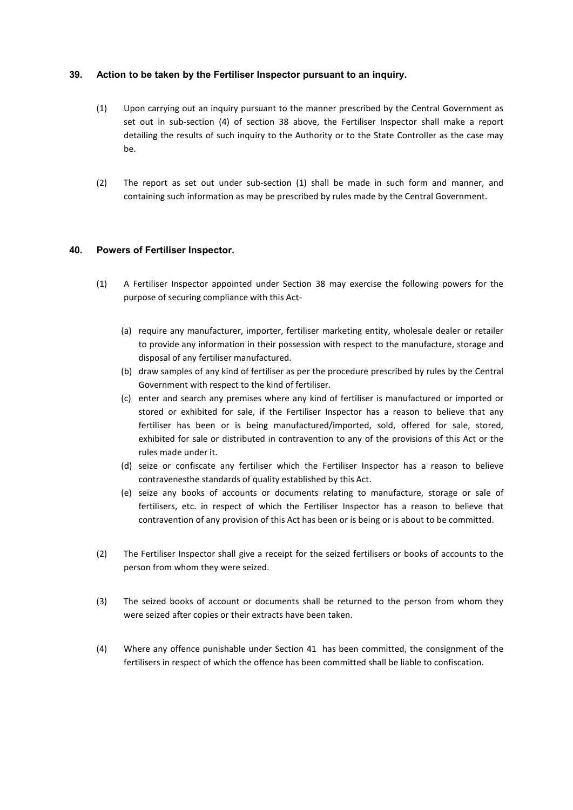### 39. Action to be taken by the Fertiliser Inspector pursuant to an inquiry.

- (1) Upon carrying out an inquiry pursuant to the manner prescribed by the Central Government as set out in sub-section (4) of section 38 above, the Fertiliser Inspector shall make a report detailing the results of such inquiry to the Authority or to the State Controller as the case may be.
- (2) The report as set out under sub-section (1) shall be made in such form and manner, and containing such information as may be prescribed by rules made by the Central Government.

### 40. Powers of Fertiliser Inspector.

- (1) A Fertiliser Inspector appointed under Section 38 may exercise the following powers for the purpose of securing compliance with this Act-
	- (a) require any manufacturer, importer, fertiliser marketing entity, wholesale dealer or retailer to provide any information in their possession with respect to the manufacture, storage and disposal of any fertiliser manufactured.
	- (b) draw samples of any kind of fertiliser as per the procedure prescribed by rules by the Central Government with respect to the kind of fertiliser.
	- (c) enter and search any premises where any kind of fertiliser is manufactured or imported or stored or exhibited for sale, if the Fertiliser Inspector has a reason to believe that any fertiliser has been or is being manufactured/imported, sold, offered for sale, stored, exhibited for sale or distributed in contravention to any of the provisions of this Act or the rules made under it.
	- (d) seize or confiscate any fertiliser which the Fertiliser Inspector has a reason to believe contravenesthe standards of quality established by this Act.
	- (e) seize any books of accounts or documents relating to manufacture, storage or sale of fertilisers, etc. in respect of which the Fertiliser Inspector has a reason to believe that contravention of any provision of this Act has been or is being or is about to be committed.
- (2) The Fertiliser Inspector shall give a receipt for the seized fertilisers or books of accounts to the person from whom they were seized.
- (3) The seized books of account or documents shall be returned to the person from whom they were seized after copies or their extracts have been taken.
- (4) Where any offence punishable under Section 41 has been committed, the consignment of the fertilisers in respect of which the offence has been committed shall be liable to confiscation.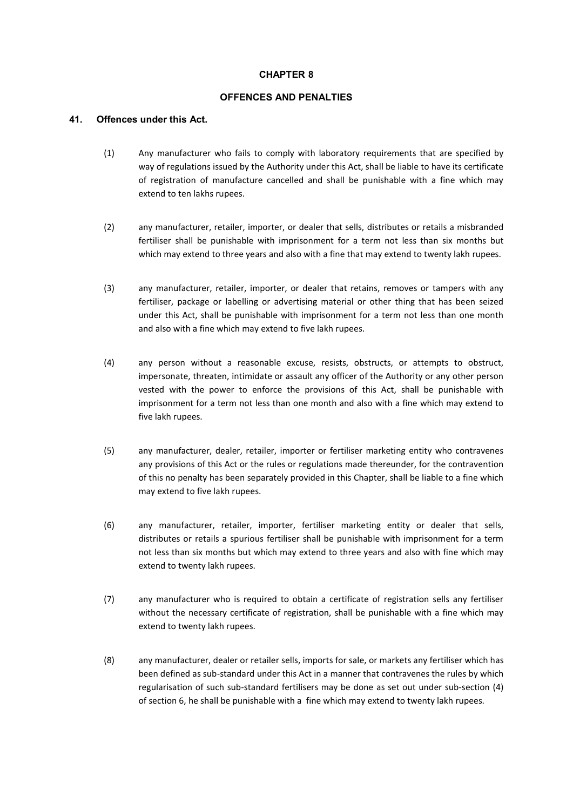# CHAPTER 8

#### OFFENCES AND PENALTIES

#### 41. Offences under this Act.

- (1) Any manufacturer who fails to comply with laboratory requirements that are specified by way of regulations issued by the Authority under this Act, shall be liable to have its certificate of registration of manufacture cancelled and shall be punishable with a fine which may extend to ten lakhs rupees.
- (2) any manufacturer, retailer, importer, or dealer that sells, distributes or retails a misbranded fertiliser shall be punishable with imprisonment for a term not less than six months but which may extend to three years and also with a fine that may extend to twenty lakh rupees.
- (3) any manufacturer, retailer, importer, or dealer that retains, removes or tampers with any fertiliser, package or labelling or advertising material or other thing that has been seized under this Act, shall be punishable with imprisonment for a term not less than one month and also with a fine which may extend to five lakh rupees.
- (4) any person without a reasonable excuse, resists, obstructs, or attempts to obstruct, impersonate, threaten, intimidate or assault any officer of the Authority or any other person vested with the power to enforce the provisions of this Act, shall be punishable with imprisonment for a term not less than one month and also with a fine which may extend to five lakh rupees.
- (5) any manufacturer, dealer, retailer, importer or fertiliser marketing entity who contravenes any provisions of this Act or the rules or regulations made thereunder, for the contravention of this no penalty has been separately provided in this Chapter, shall be liable to a fine which may extend to five lakh rupees.
- (6) any manufacturer, retailer, importer, fertiliser marketing entity or dealer that sells, distributes or retails a spurious fertiliser shall be punishable with imprisonment for a term not less than six months but which may extend to three years and also with fine which may extend to twenty lakh rupees.
- (7) any manufacturer who is required to obtain a certificate of registration sells any fertiliser without the necessary certificate of registration, shall be punishable with a fine which may extend to twenty lakh rupees.
- (8) any manufacturer, dealer or retailer sells, imports for sale, or markets any fertiliser which has been defined as sub-standard under this Act in a manner that contravenes the rules by which regularisation of such sub-standard fertilisers may be done as set out under sub-section (4) of section 6, he shall be punishable with a fine which may extend to twenty lakh rupees.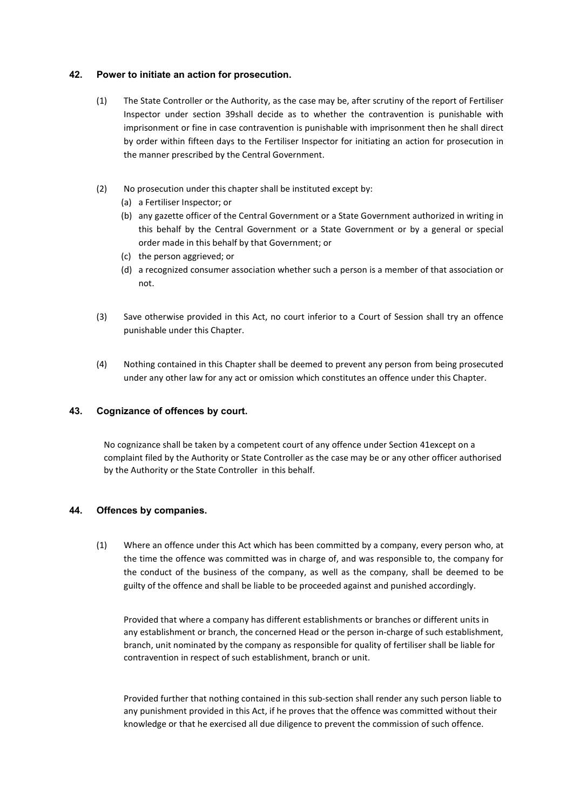### 42. Power to initiate an action for prosecution.

- (1) The State Controller or the Authority, as the case may be, after scrutiny of the report of Fertiliser Inspector under section 39shall decide as to whether the contravention is punishable with imprisonment or fine in case contravention is punishable with imprisonment then he shall direct by order within fifteen days to the Fertiliser Inspector for initiating an action for prosecution in the manner prescribed by the Central Government.
- (2) No prosecution under this chapter shall be instituted except by:
	- (a) a Fertiliser Inspector; or
	- (b) any gazette officer of the Central Government or a State Government authorized in writing in this behalf by the Central Government or a State Government or by a general or special order made in this behalf by that Government; or
	- (c) the person aggrieved; or
	- (d) a recognized consumer association whether such a person is a member of that association or not.
- (3) Save otherwise provided in this Act, no court inferior to a Court of Session shall try an offence punishable under this Chapter.
- (4) Nothing contained in this Chapter shall be deemed to prevent any person from being prosecuted under any other law for any act or omission which constitutes an offence under this Chapter.

#### 43. Cognizance of offences by court.

No cognizance shall be taken by a competent court of any offence under Section 41except on a complaint filed by the Authority or State Controller as the case may be or any other officer authorised by the Authority or the State Controller in this behalf.

#### 44. Offences by companies.

(1) Where an offence under this Act which has been committed by a company, every person who, at the time the offence was committed was in charge of, and was responsible to, the company for the conduct of the business of the company, as well as the company, shall be deemed to be guilty of the offence and shall be liable to be proceeded against and punished accordingly.

Provided that where a company has different establishments or branches or different units in any establishment or branch, the concerned Head or the person in-charge of such establishment, branch, unit nominated by the company as responsible for quality of fertiliser shall be liable for contravention in respect of such establishment, branch or unit.

Provided further that nothing contained in this sub-section shall render any such person liable to any punishment provided in this Act, if he proves that the offence was committed without their knowledge or that he exercised all due diligence to prevent the commission of such offence.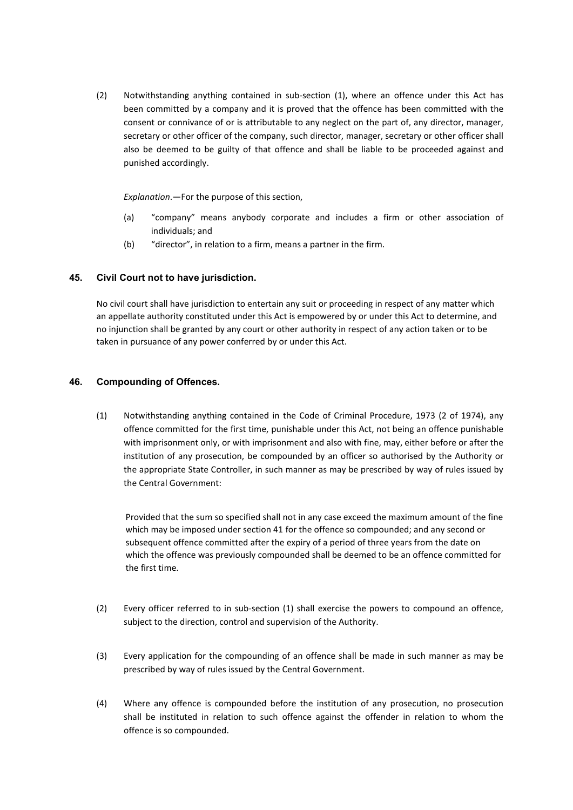(2) Notwithstanding anything contained in sub-section (1), where an offence under this Act has been committed by a company and it is proved that the offence has been committed with the consent or connivance of or is attributable to any neglect on the part of, any director, manager, secretary or other officer of the company, such director, manager, secretary or other officer shall also be deemed to be guilty of that offence and shall be liable to be proceeded against and punished accordingly.

Explanation.—For the purpose of this section,

- (a) "company" means anybody corporate and includes a firm or other association of individuals; and
- (b) "director", in relation to a firm, means a partner in the firm.

#### 45. Civil Court not to have jurisdiction.

No civil court shall have jurisdiction to entertain any suit or proceeding in respect of any matter which an appellate authority constituted under this Act is empowered by or under this Act to determine, and no injunction shall be granted by any court or other authority in respect of any action taken or to be taken in pursuance of any power conferred by or under this Act.

#### 46. Compounding of Offences.

(1) Notwithstanding anything contained in the Code of Criminal Procedure, 1973 (2 of 1974), any offence committed for the first time, punishable under this Act, not being an offence punishable with imprisonment only, or with imprisonment and also with fine, may, either before or after the institution of any prosecution, be compounded by an officer so authorised by the Authority or the appropriate State Controller, in such manner as may be prescribed by way of rules issued by the Central Government:

Provided that the sum so specified shall not in any case exceed the maximum amount of the fine which may be imposed under section 41 for the offence so compounded; and any second or subsequent offence committed after the expiry of a period of three years from the date on which the offence was previously compounded shall be deemed to be an offence committed for the first time.

- (2) Every officer referred to in sub-section (1) shall exercise the powers to compound an offence, subject to the direction, control and supervision of the Authority.
- (3) Every application for the compounding of an offence shall be made in such manner as may be prescribed by way of rules issued by the Central Government.
- (4) Where any offence is compounded before the institution of any prosecution, no prosecution shall be instituted in relation to such offence against the offender in relation to whom the offence is so compounded.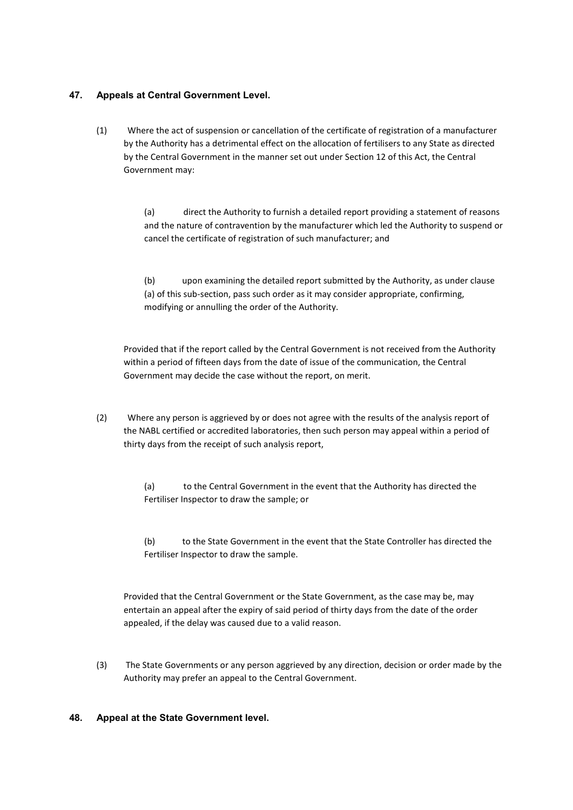# 47. Appeals at Central Government Level.

(1) Where the act of suspension or cancellation of the certificate of registration of a manufacturer by the Authority has a detrimental effect on the allocation of fertilisers to any State as directed by the Central Government in the manner set out under Section 12 of this Act, the Central Government may:

> (a) direct the Authority to furnish a detailed report providing a statement of reasons and the nature of contravention by the manufacturer which led the Authority to suspend or cancel the certificate of registration of such manufacturer; and

(b) upon examining the detailed report submitted by the Authority, as under clause (a) of this sub-section, pass such order as it may consider appropriate, confirming, modifying or annulling the order of the Authority.

Provided that if the report called by the Central Government is not received from the Authority within a period of fifteen days from the date of issue of the communication, the Central Government may decide the case without the report, on merit.

(2) Where any person is aggrieved by or does not agree with the results of the analysis report of the NABL certified or accredited laboratories, then such person may appeal within a period of thirty days from the receipt of such analysis report,

> (a) to the Central Government in the event that the Authority has directed the Fertiliser Inspector to draw the sample; or

(b) to the State Government in the event that the State Controller has directed the Fertiliser Inspector to draw the sample.

Provided that the Central Government or the State Government, as the case may be, may entertain an appeal after the expiry of said period of thirty days from the date of the order appealed, if the delay was caused due to a valid reason.

(3) The State Governments or any person aggrieved by any direction, decision or order made by the Authority may prefer an appeal to the Central Government.

# 48. Appeal at the State Government level.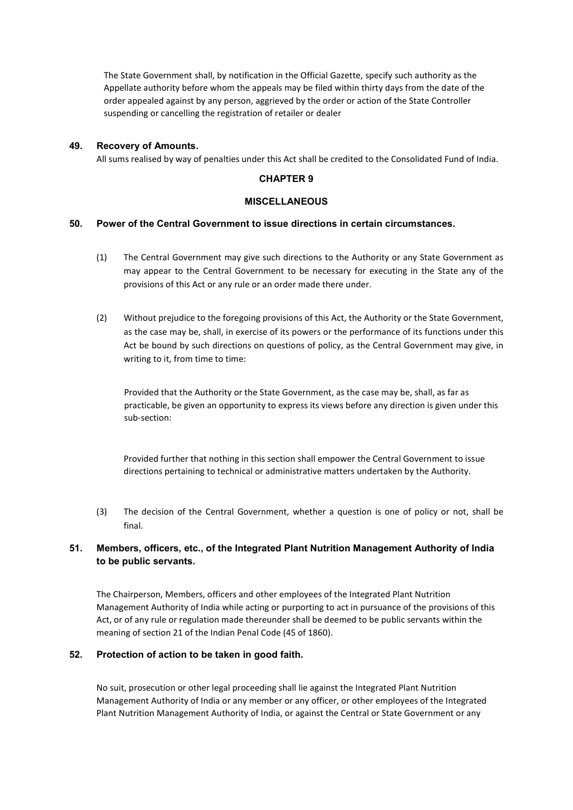The State Government shall, by notification in the Official Gazette, specify such authority as the Appellate authority before whom the appeals may be filed within thirty days from the date of the order appealed against by any person, aggrieved by the order or action of the State Controller suspending or cancelling the registration of retailer or dealer

### 49. Recovery of Amounts.

All sums realised by way of penalties under this Act shall be credited to the Consolidated Fund of India.

#### CHAPTER 9

#### **MISCELLANEOUS**

#### 50. Power of the Central Government to issue directions in certain circumstances.

- (1) The Central Government may give such directions to the Authority or any State Government as may appear to the Central Government to be necessary for executing in the State any of the provisions of this Act or any rule or an order made there under.
- (2) Without prejudice to the foregoing provisions of this Act, the Authority or the State Government, as the case may be, shall, in exercise of its powers or the performance of its functions under this Act be bound by such directions on questions of policy, as the Central Government may give, in writing to it, from time to time:

Provided that the Authority or the State Government, as the case may be, shall, as far as practicable, be given an opportunity to express its views before any direction is given under this sub-section:

Provided further that nothing in this section shall empower the Central Government to issue directions pertaining to technical or administrative matters undertaken by the Authority.

(3) The decision of the Central Government, whether a question is one of policy or not, shall be final.

# 51. Members, officers, etc., of the Integrated Plant Nutrition Management Authority of India to be public servants.

The Chairperson, Members, officers and other employees of the Integrated Plant Nutrition Management Authority of India while acting or purporting to act in pursuance of the provisions of this Act, or of any rule or regulation made thereunder shall be deemed to be public servants within the meaning of section 21 of the Indian Penal Code (45 of 1860).

#### 52. Protection of action to be taken in good faith.

No suit, prosecution or other legal proceeding shall lie against the Integrated Plant Nutrition Management Authority of India or any member or any officer, or other employees of the Integrated Plant Nutrition Management Authority of India, or against the Central or State Government or any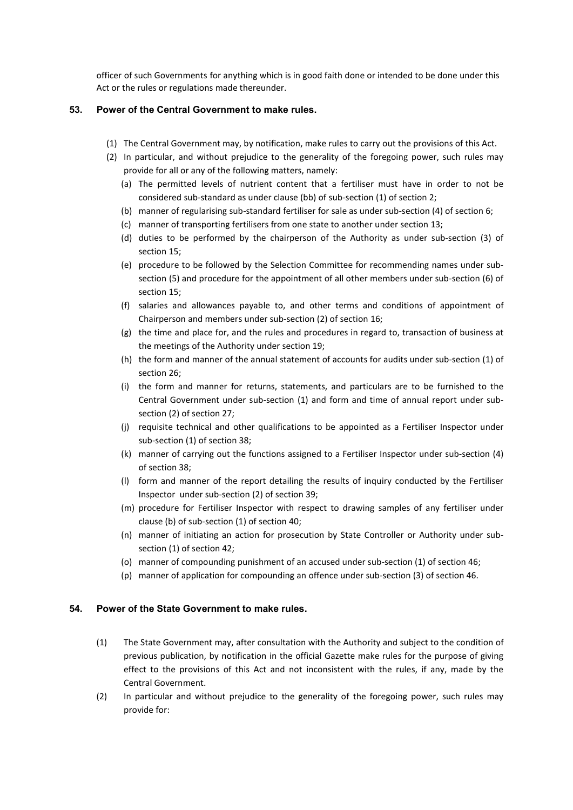officer of such Governments for anything which is in good faith done or intended to be done under this Act or the rules or regulations made thereunder.

### 53. Power of the Central Government to make rules.

- (1) The Central Government may, by notification, make rules to carry out the provisions of this Act.
- (2) In particular, and without prejudice to the generality of the foregoing power, such rules may provide for all or any of the following matters, namely:
	- (a) The permitted levels of nutrient content that a fertiliser must have in order to not be considered sub-standard as under clause (bb) of sub-section (1) of section 2;
	- (b) manner of regularising sub-standard fertiliser for sale as under sub-section (4) of section 6;
	- (c) manner of transporting fertilisers from one state to another under section 13;
	- (d) duties to be performed by the chairperson of the Authority as under sub-section (3) of section 15;
	- (e) procedure to be followed by the Selection Committee for recommending names under subsection (5) and procedure for the appointment of all other members under sub-section (6) of section 15;
	- (f) salaries and allowances payable to, and other terms and conditions of appointment of Chairperson and members under sub-section (2) of section 16;
	- (g) the time and place for, and the rules and procedures in regard to, transaction of business at the meetings of the Authority under section 19;
	- (h) the form and manner of the annual statement of accounts for audits under sub-section (1) of section 26;
	- (i) the form and manner for returns, statements, and particulars are to be furnished to the Central Government under sub-section (1) and form and time of annual report under subsection (2) of section 27;
	- (j) requisite technical and other qualifications to be appointed as a Fertiliser Inspector under sub-section (1) of section 38;
	- (k) manner of carrying out the functions assigned to a Fertiliser Inspector under sub-section (4) of section 38;
	- (l) form and manner of the report detailing the results of inquiry conducted by the Fertiliser Inspector under sub-section (2) of section 39;
	- (m) procedure for Fertiliser Inspector with respect to drawing samples of any fertiliser under clause (b) of sub-section (1) of section 40;
	- (n) manner of initiating an action for prosecution by State Controller or Authority under subsection (1) of section 42;
	- (o) manner of compounding punishment of an accused under sub-section (1) of section 46;
	- (p) manner of application for compounding an offence under sub-section (3) of section 46.

### 54. Power of the State Government to make rules.

- (1) The State Government may, after consultation with the Authority and subject to the condition of previous publication, by notification in the official Gazette make rules for the purpose of giving effect to the provisions of this Act and not inconsistent with the rules, if any, made by the Central Government.
- (2) In particular and without prejudice to the generality of the foregoing power, such rules may provide for: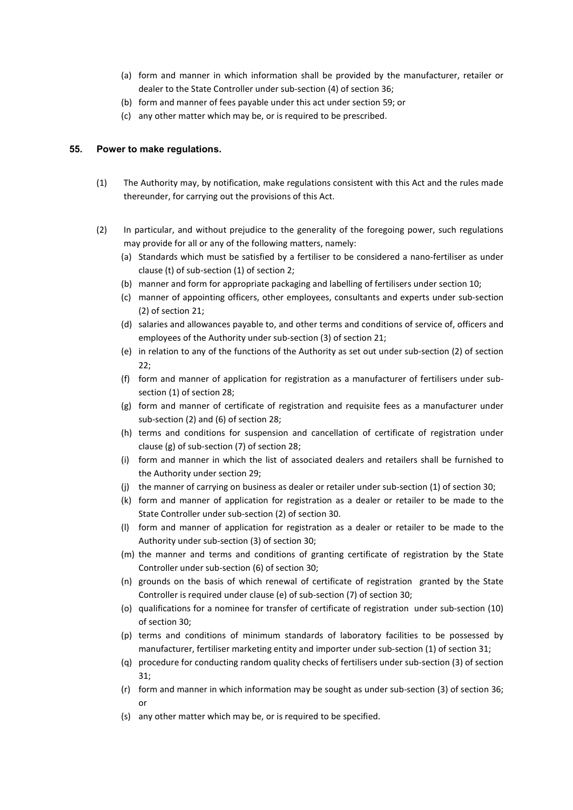- (a) form and manner in which information shall be provided by the manufacturer, retailer or dealer to the State Controller under sub-section (4) of section 36;
- (b) form and manner of fees payable under this act under section 59; or
- (c) any other matter which may be, or is required to be prescribed.

### 55. Power to make regulations.

- (1) The Authority may, by notification, make regulations consistent with this Act and the rules made thereunder, for carrying out the provisions of this Act.
- (2) In particular, and without prejudice to the generality of the foregoing power, such regulations may provide for all or any of the following matters, namely:
	- (a) Standards which must be satisfied by a fertiliser to be considered a nano-fertiliser as under clause (t) of sub-section (1) of section 2;
	- (b) manner and form for appropriate packaging and labelling of fertilisers under section 10;
	- (c) manner of appointing officers, other employees, consultants and experts under sub-section (2) of section 21;
	- (d) salaries and allowances payable to, and other terms and conditions of service of, officers and employees of the Authority under sub-section (3) of section 21;
	- (e) in relation to any of the functions of the Authority as set out under sub-section (2) of section  $22:$
	- (f) form and manner of application for registration as a manufacturer of fertilisers under subsection (1) of section 28;
	- (g) form and manner of certificate of registration and requisite fees as a manufacturer under sub-section (2) and (6) of section 28;
	- (h) terms and conditions for suspension and cancellation of certificate of registration under clause (g) of sub-section (7) of section 28;
	- (i) form and manner in which the list of associated dealers and retailers shall be furnished to the Authority under section 29;
	- (j) the manner of carrying on business as dealer or retailer under sub-section (1) of section 30;
	- (k) form and manner of application for registration as a dealer or retailer to be made to the State Controller under sub-section (2) of section 30.
	- (l) form and manner of application for registration as a dealer or retailer to be made to the Authority under sub-section (3) of section 30;
	- (m) the manner and terms and conditions of granting certificate of registration by the State Controller under sub-section (6) of section 30;
	- (n) grounds on the basis of which renewal of certificate of registration granted by the State Controller is required under clause (e) of sub-section (7) of section 30;
	- (o) qualifications for a nominee for transfer of certificate of registration under sub-section (10) of section 30;
	- (p) terms and conditions of minimum standards of laboratory facilities to be possessed by manufacturer, fertiliser marketing entity and importer under sub-section (1) of section 31;
	- (q) procedure for conducting random quality checks of fertilisers under sub-section (3) of section 31;
	- (r) form and manner in which information may be sought as under sub-section (3) of section 36; or
	- (s) any other matter which may be, or is required to be specified.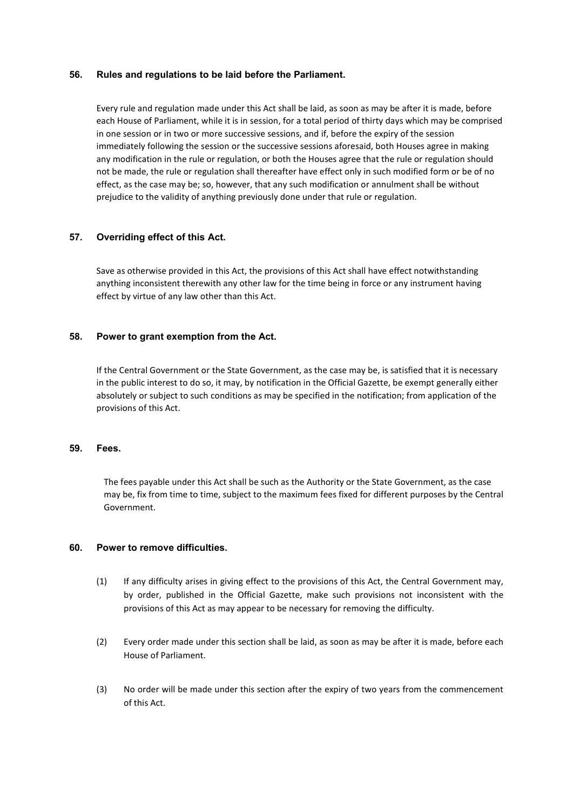#### 56. Rules and regulations to be laid before the Parliament.

Every rule and regulation made under this Act shall be laid, as soon as may be after it is made, before each House of Parliament, while it is in session, for a total period of thirty days which may be comprised in one session or in two or more successive sessions, and if, before the expiry of the session immediately following the session or the successive sessions aforesaid, both Houses agree in making any modification in the rule or regulation, or both the Houses agree that the rule or regulation should not be made, the rule or regulation shall thereafter have effect only in such modified form or be of no effect, as the case may be; so, however, that any such modification or annulment shall be without prejudice to the validity of anything previously done under that rule or regulation.

### 57. Overriding effect of this Act.

Save as otherwise provided in this Act, the provisions of this Act shall have effect notwithstanding anything inconsistent therewith any other law for the time being in force or any instrument having effect by virtue of any law other than this Act.

#### 58. Power to grant exemption from the Act.

If the Central Government or the State Government, as the case may be, is satisfied that it is necessary in the public interest to do so, it may, by notification in the Official Gazette, be exempt generally either absolutely or subject to such conditions as may be specified in the notification; from application of the provisions of this Act.

#### 59. Fees.

The fees payable under this Act shall be such as the Authority or the State Government, as the case may be, fix from time to time, subject to the maximum fees fixed for different purposes by the Central Government.

#### 60. Power to remove difficulties.

- (1) If any difficulty arises in giving effect to the provisions of this Act, the Central Government may, by order, published in the Official Gazette, make such provisions not inconsistent with the provisions of this Act as may appear to be necessary for removing the difficulty.
- (2) Every order made under this section shall be laid, as soon as may be after it is made, before each House of Parliament.
- (3) No order will be made under this section after the expiry of two years from the commencement of this Act.